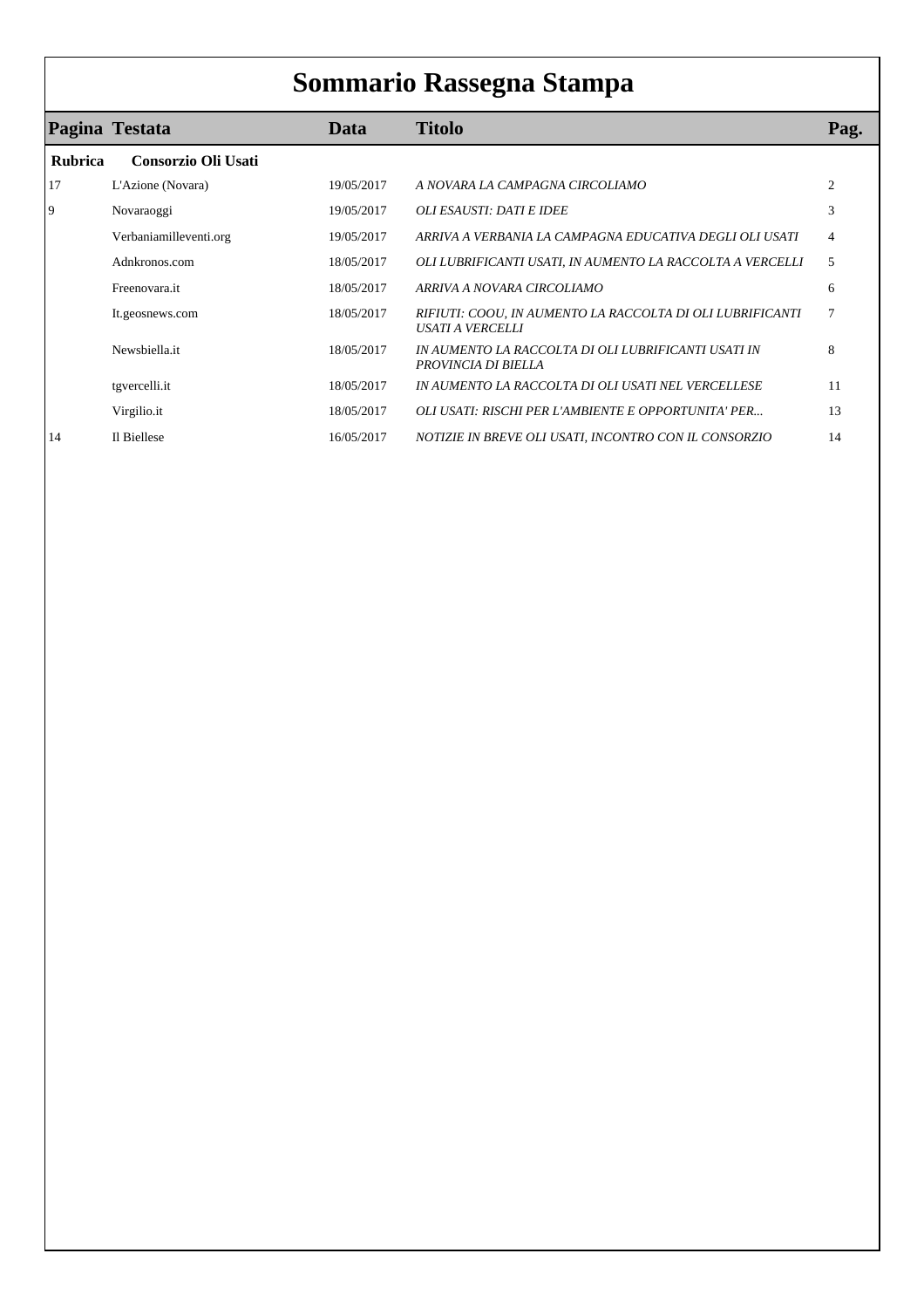# **Sommario Rassegna Stampa**

|                | Pagina Testata         | Data       | <b>Titolo</b>                                                                        | Pag.           |
|----------------|------------------------|------------|--------------------------------------------------------------------------------------|----------------|
| <b>Rubrica</b> | Consorzio Oli Usati    |            |                                                                                      |                |
| 17             | L'Azione (Novara)      | 19/05/2017 | A NOVARA LA CAMPAGNA CIRCOLIAMO                                                      | $\overline{2}$ |
| 9              | Novaraoggi             | 19/05/2017 | <i><b>OLI ESAUSTI: DATI E IDEE</b></i>                                               | 3              |
|                | Verbaniamilleventi.org | 19/05/2017 | ARRIVA A VERBANIA LA CAMPAGNA EDUCATIVA DEGLI OLI USATI                              | 4              |
|                | Adnkronos.com          | 18/05/2017 | OLI LUBRIFICANTI USATI, IN AUMENTO LA RACCOLTA A VERCELLI                            | 5              |
|                | Freenovara.it          | 18/05/2017 | ARRIVA A NOVARA CIRCOLIAMO                                                           | 6              |
|                | It.geosnews.com        | 18/05/2017 | RIFIUTI: COOU, IN AUMENTO LA RACCOLTA DI OLI LUBRIFICANTI<br><b>USATI A VERCELLI</b> | $\overline{7}$ |
|                | Newsbiella.it          | 18/05/2017 | IN AUMENTO LA RACCOLTA DI OLI LUBRIFICANTI USATI IN<br>PROVINCIA DI BIELLA           | 8              |
|                | tgvercelli.it          | 18/05/2017 | IN AUMENTO LA RACCOLTA DI OLI USATI NEL VERCELLESE                                   | 11             |
|                | Virgilio.it            | 18/05/2017 | OLI USATI: RISCHI PER L'AMBIENTE E OPPORTUNITA' PER                                  | 13             |
| 14             | Il Biellese            | 16/05/2017 | NOTIZIE IN BREVE OLI USATI, INCONTRO CON IL CONSORZIO                                | 14             |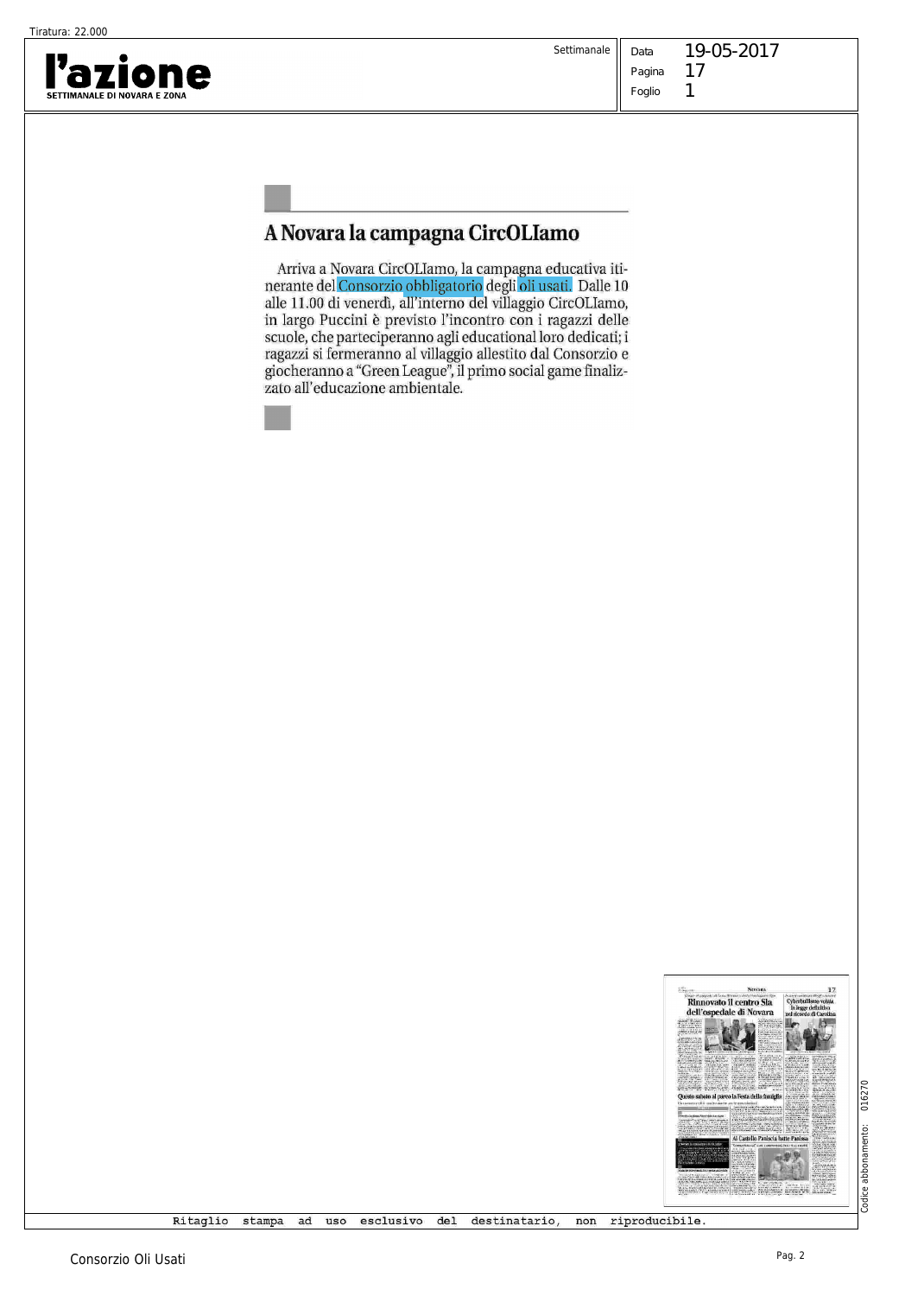<span id="page-1-0"></span>

Data

### A Novara la campagna CircOLIamo

Arriva a Novara CircOLIamo, la campagna educativa itinerante del Consorzio obbligatorio degli oli usati. Dalle 10<br>alle 11.00 di venerdì, all'interno del villaggio CircOLIamo, in largo Puccini è previsto l'incontro con i ragazzi delle scuole, che parteciperanno agli educational loro dedicati; i ragazzi si fermeranno al villaggio allestito dal Consorzio e<br>giocheranno a "Green League", il primo social game finalizzato all'educazione ambientale.



Ritaglio stampa ad uso esclusivo del destinatario, non riproducibile.

Codice abbonamento: 016270

Codice abbonamento:

016270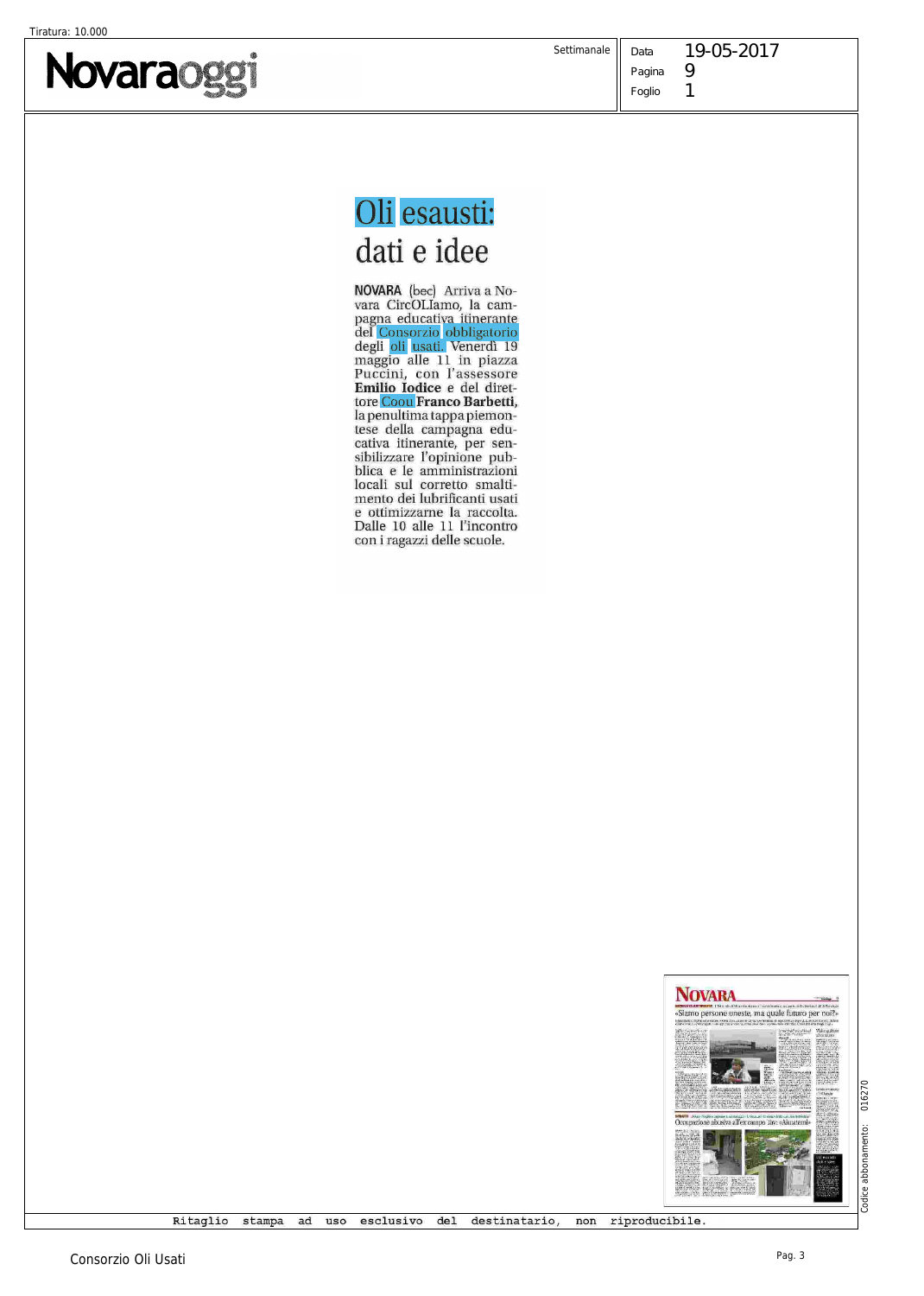# <span id="page-2-0"></span>Novaraoggi

Data

# Oli esausti: dati e idee

NOVARA (bec) Arriva a Novara CircOLIamo, la campagna educativa itinerante del Consorzio obbligatorio<br>degli oli usati. Venerdì 19<br>maggio alle 11 in piazza<br>Puccini, con l'assessore Emilio Iodice e del direttore Coou Franco Barbetti, la penultima tappa piemon-<br>tese della campagna educativa itinerante, per sensibilizzare l'opinione pubblica e le amministrazioni locali sul corretto smalti-<br>mento dei lubrificanti usati e ottimizzame la raccolta. Dalle 10 alle 11 l'incontro con i ragazzi delle scuole.



Ritaglio stampa ad uso esclusivo del destinatario, non riproducibile.

Codice abbonamento: 016270

Codice abbonamento:

016270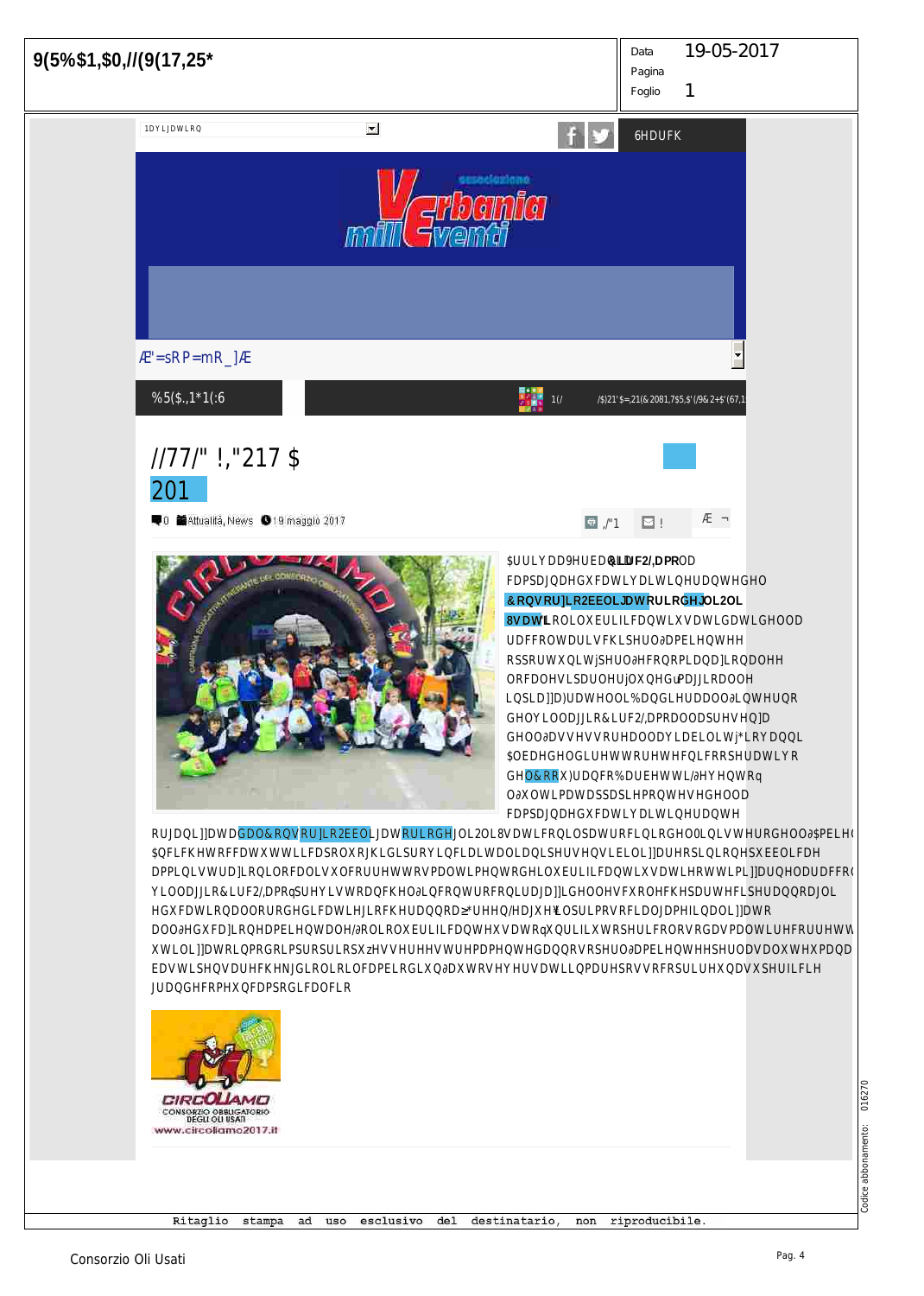<span id="page-3-0"></span>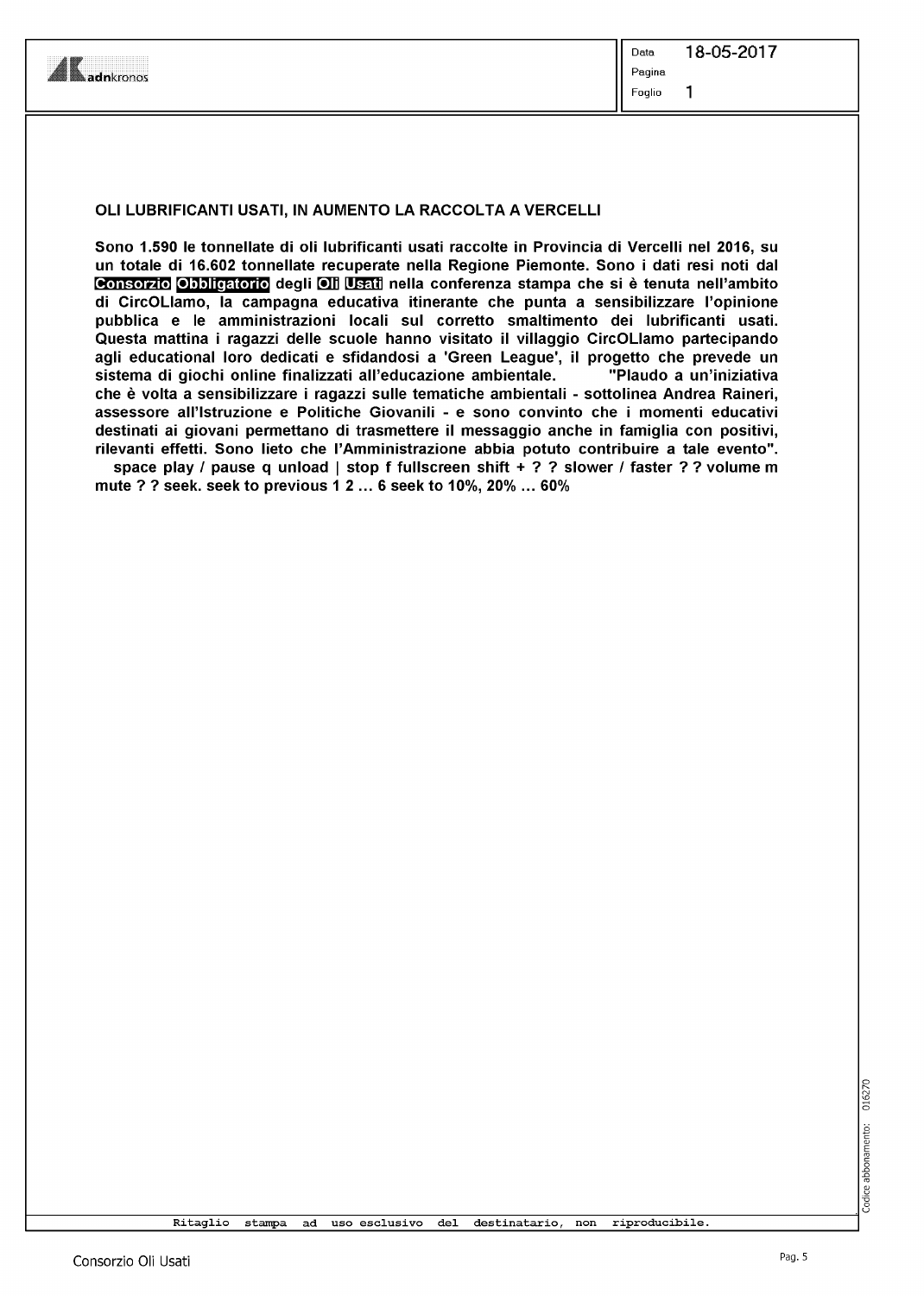#### OLI LUBRIFICANTI USATI, IN AUMENTO LA RACCOLTA A VERCELLI

Sono 1.590 le tonnellate di oli lubrificanti usati raccolte in Provincia di Vercelli nel 2016, su un totale di 16.602 tonnellate recuperate nella Regione Piemonte. Sono i dati resi noti dal Consorzio Obbligatorio degli Oli Usati nella conferenza stampa che si è tenuta nell'ambito di CircOLlamo, la campagna educativa itinerante che punta a sensibilizzare l'opinione pubblica e le amministrazioni locali sul corretto smaltimento dei lubrificanti usati. Questa mattina i ragazzi delle scuole hanno visitato il villaggio CircOLlamo partecipando agli educational loro dedicati e sfidandosi a 'Green League', il progetto che prevede un "Plaudo a un'iniziativa sistema di giochi online finalizzati all'educazione ambientale. che è volta a sensibilizzare i ragazzi sulle tematiche ambientali - sottolinea Andrea Raineri. assessore all'Istruzione e Politiche Giovanili - e sono convinto che i momenti educativi destinati ai giovani permettano di trasmettere il messaggio anche in famiglia con positivi, rilevanti effetti. Sono lieto che l'Amministrazione abbia potuto contribuire a tale evento".

space play / pause q unload | stop f fullscreen shift + ? ? slower / faster ? ? volume m mute ? ? seek. seek to previous 1 2 ... 6 seek to 10%, 20% ... 60%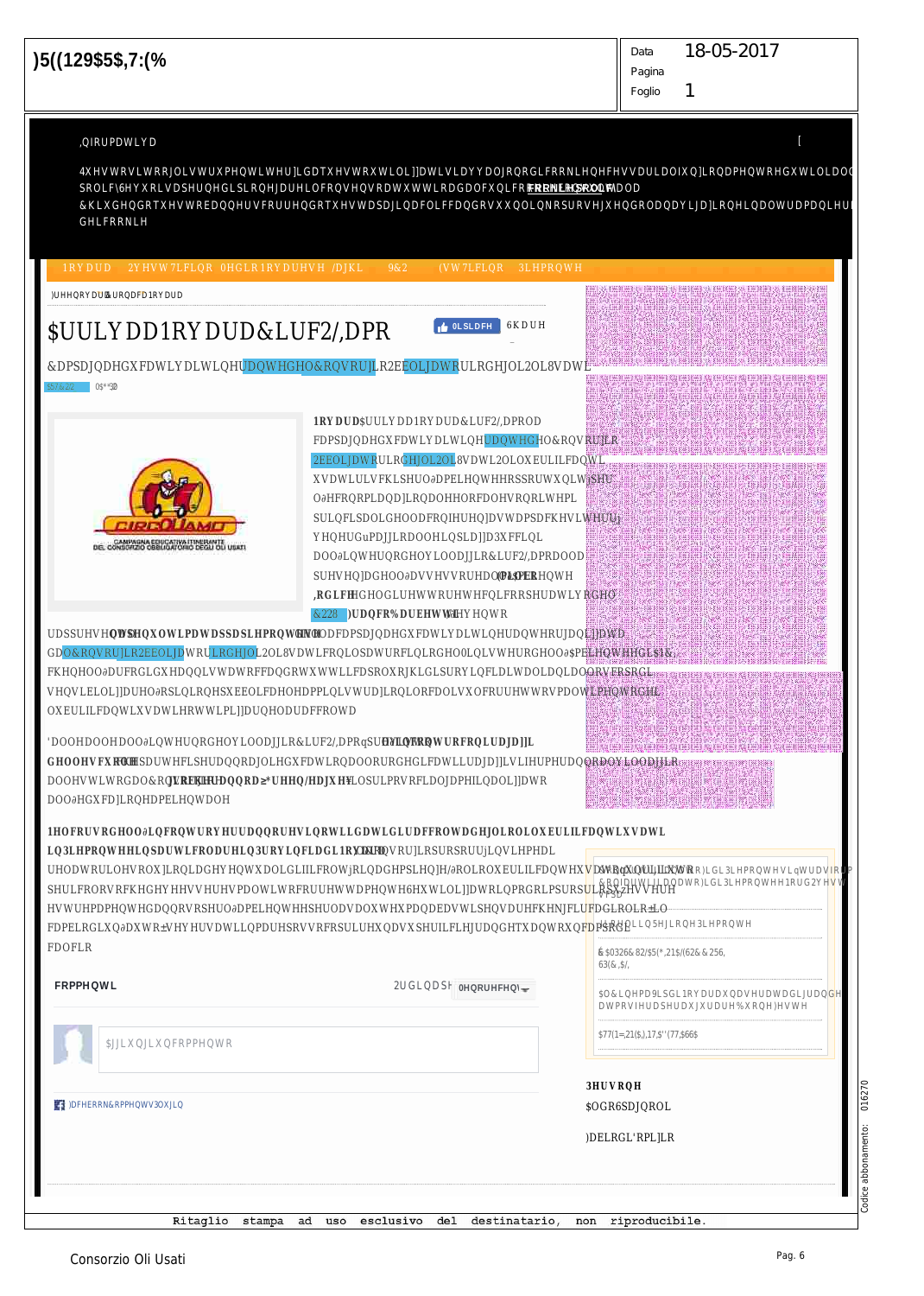<span id="page-5-0"></span>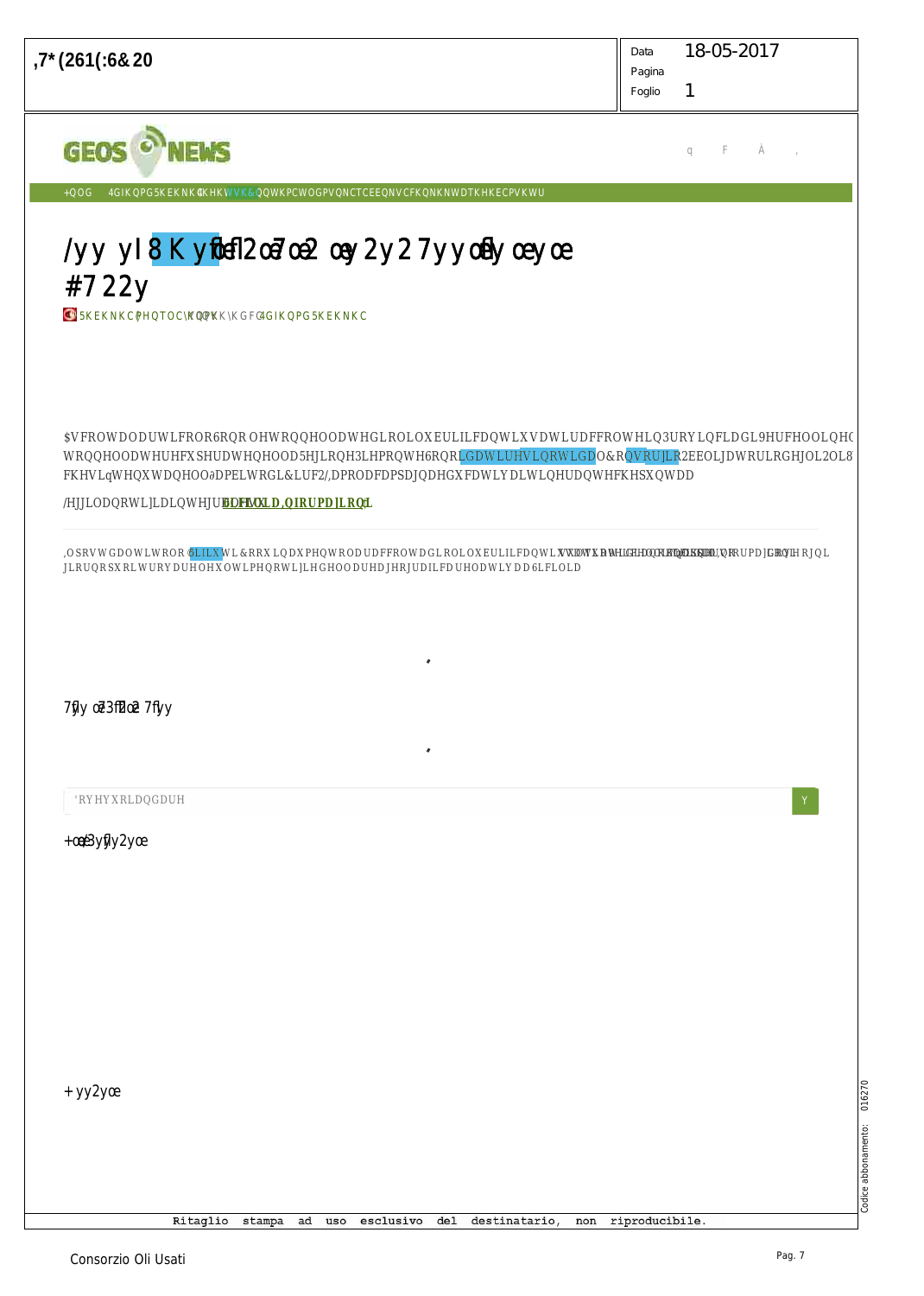<span id="page-6-0"></span>

|                                                                       | Data<br>Pagina<br>Foglio | 18-05-2017<br>$\mathbf 1$ |
|-----------------------------------------------------------------------|--------------------------|---------------------------|
| GEOS <sup>A</sup> NEWS                                                |                          |                           |
|                                                                       |                          |                           |
|                                                                       |                          |                           |
| G                                                                     |                          |                           |
|                                                                       |                          |                           |
|                                                                       |                          |                           |
|                                                                       |                          |                           |
|                                                                       |                          |                           |
|                                                                       |                          |                           |
|                                                                       |                          |                           |
|                                                                       |                          |                           |
|                                                                       |                          |                           |
|                                                                       |                          |                           |
|                                                                       |                          |                           |
|                                                                       |                          |                           |
|                                                                       |                          |                           |
| Ritaglio stampa ad uso esclusivo del destinatario, non riproducibile. |                          |                           |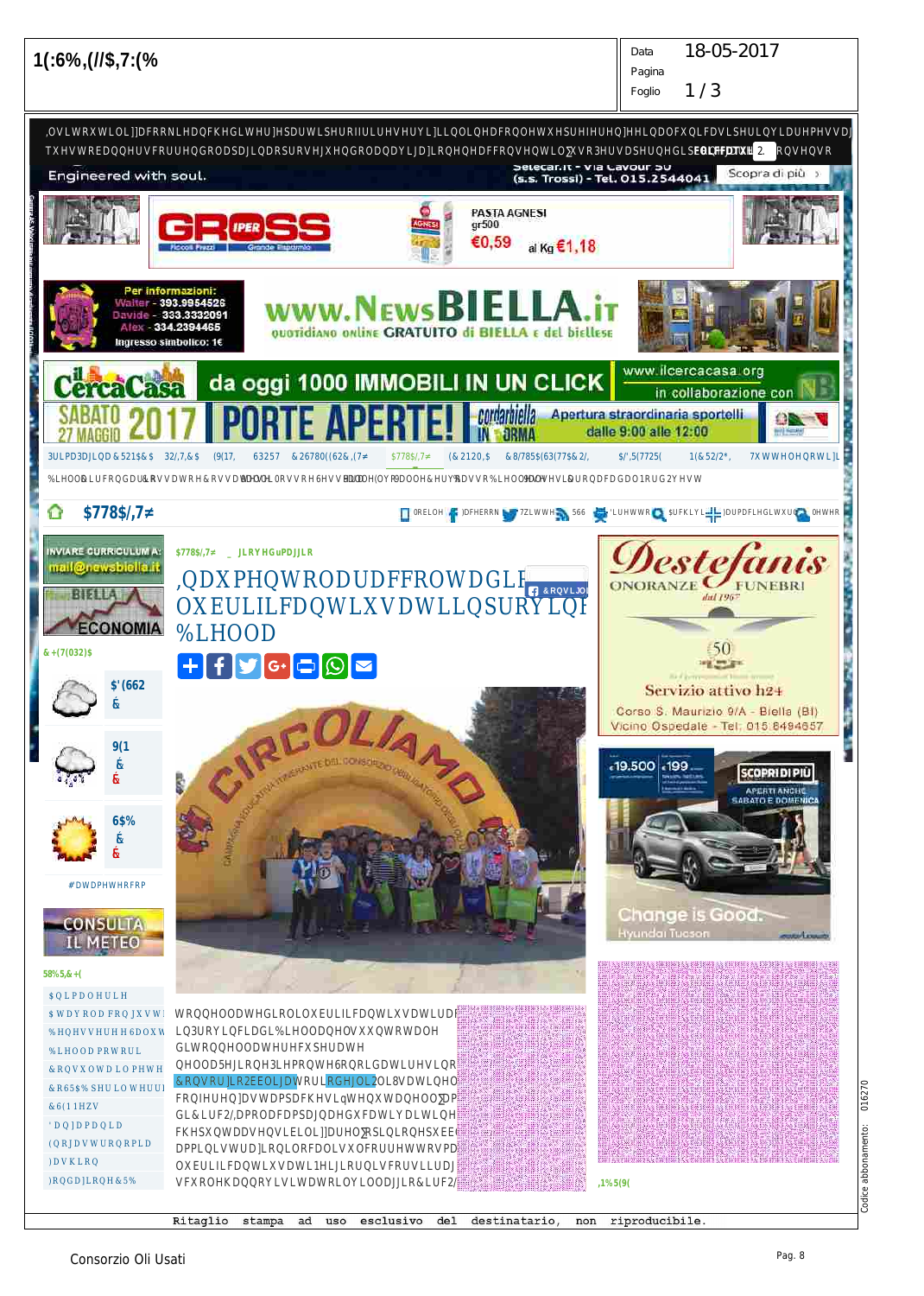<span id="page-7-0"></span>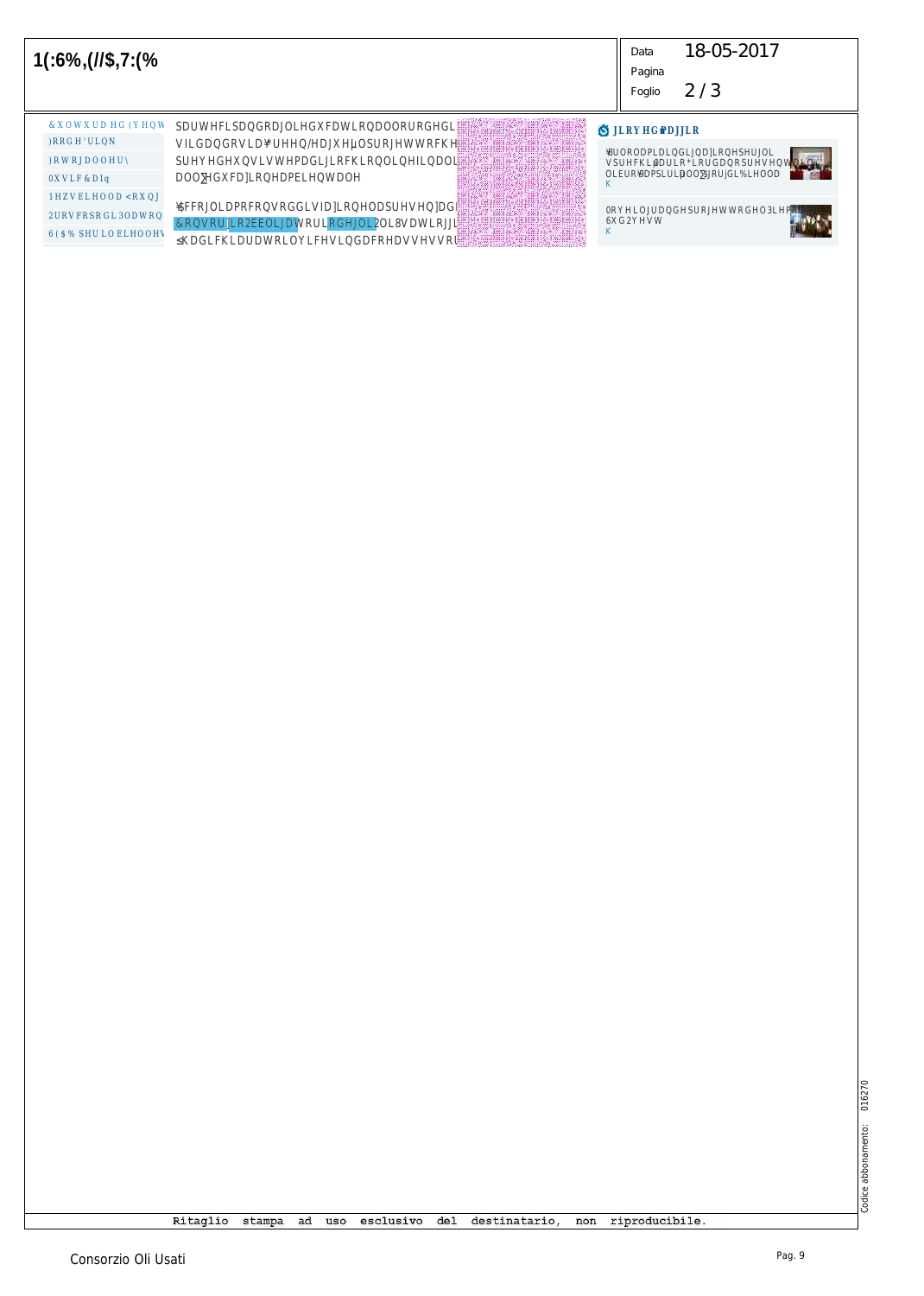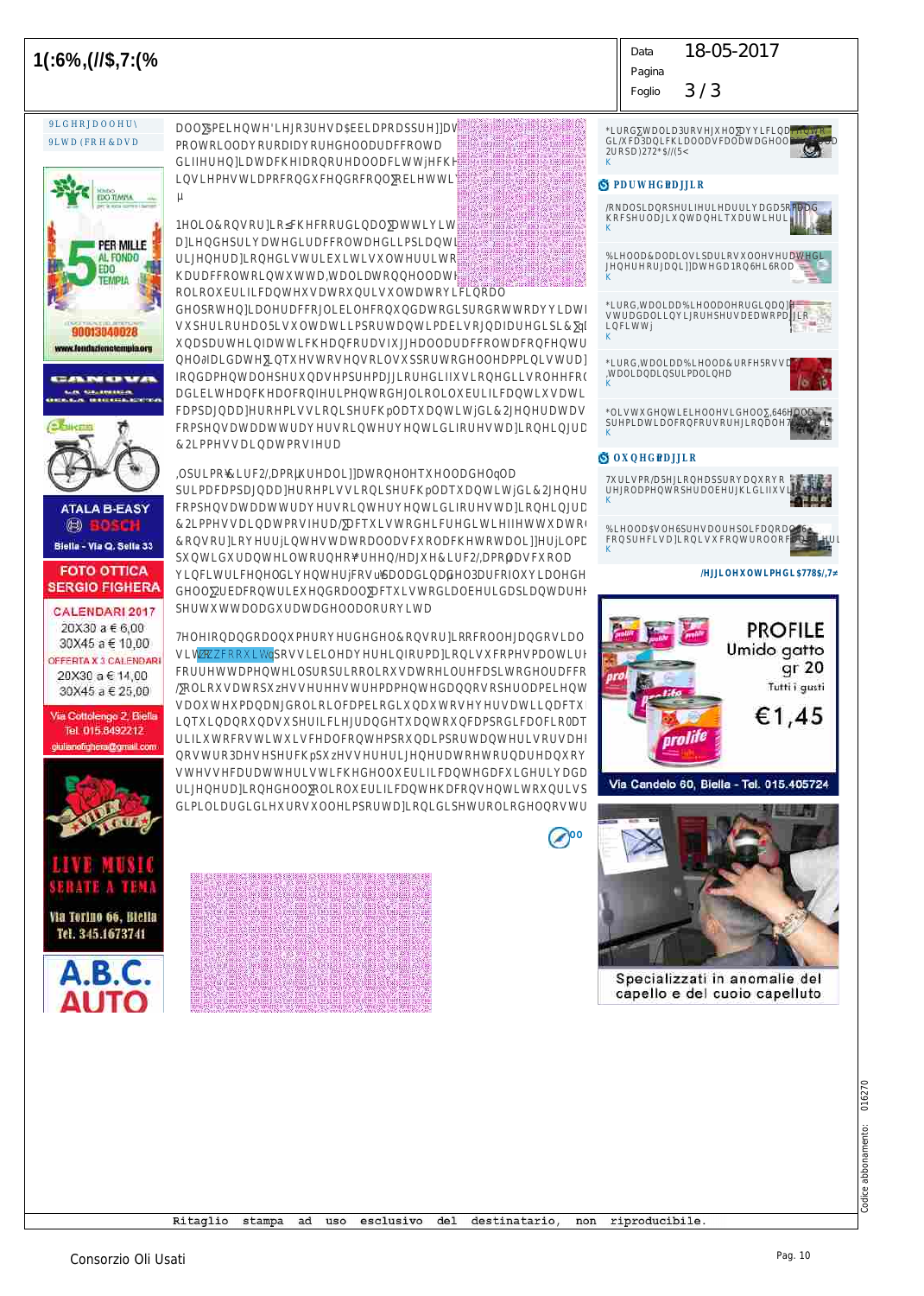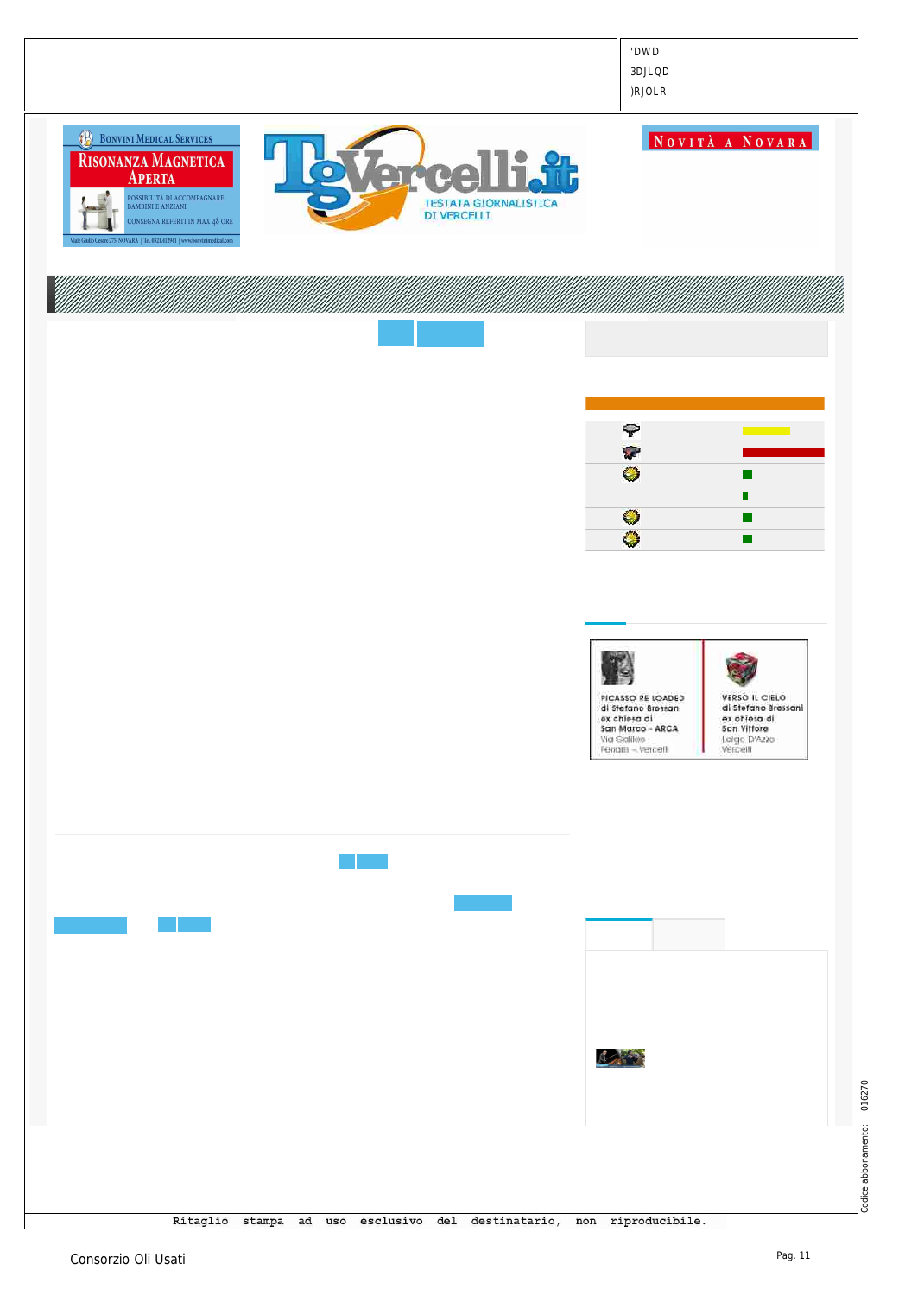<span id="page-10-2"></span><span id="page-10-0"></span>

<span id="page-10-1"></span>Consorzio Oli Usati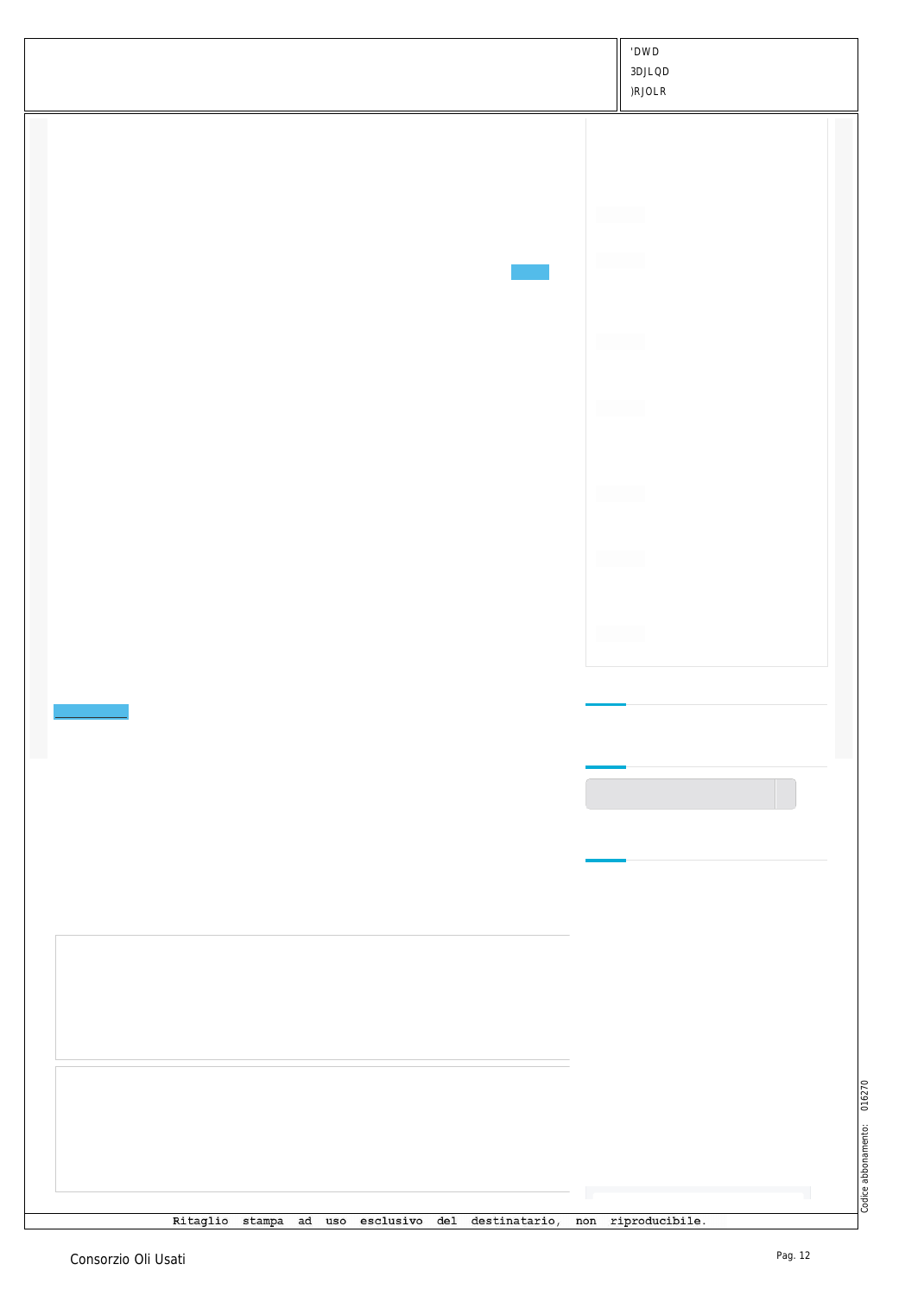| $7*9(58))/7$ , 7                                                                                                                                                                                         |                                                                             |  |
|----------------------------------------------------------------------------------------------------------------------------------------------------------------------------------------------------------|-----------------------------------------------------------------------------|--|
| LQ IDPLJOLD FRQ SRVLWLYL ULOHYDQWL HIIHWWL (<br>FROWULEXLUH D WDOH HYHOWR'                                                                                                                               | <b>SLIOHWWHUH VXOO</b><br>DQQL GDOOD VWUD                                   |  |
| LO & RQVRU]LR ± FKH FRRUGLQD O¶DWWLYLW<br>1 H O<br>LPSLDQWL GL ULJHQHUD]LRQH GLVWULEXLWL VXO WI<br>WRQQHOODWH GL ROLR OXEULILFDQWH XVDWR                                                                 | 5 D F F R O W L<br>HXU<br>6SHFLDO 20\PSLFV                                  |  |
| UDFFRJOLELOH FRQ XQ GDWR GL SURGRWWR DYYLD'<br>VRQR VRGGLVIDFHQWL ± KD VSLHJDWR )UDQFR %DUE<br>PD LO QRVWUR RELHWWLYR UHVWD TXHOOR GL UDFF                                                               | 5LFFD GL VSXQWL (<br>GL ) HGHUPDQDJHU                                       |  |
| KD LGHDWR OD FDPSDJQD HGXFDWLYD LWLQHUDQWH<br>L FDSROXRJKL GL SURYLQFLD LWDOLDQL 38QD FDPS<br>&2 JHQHUDWD VDUj FRPSHQVDWD DWWUDYHUVR LQW                                                                 | <b>3DVVD GD 9HUFHOD</b><br>GHO & HQWHQDULR                                  |  |
| OD &2 LPPHVVD LQ DWPRVIHUD'                                                                                                                                                                              | \$0 0XVHR GHO 7HV<br>'XRPR DUULYD O R!<br>&ODXGLR 3DUPLJJL                  |  |
| <sup>3</sup> /D SLFFROD SDUWH FKH VIXJJH DQFRUD DOOD UDFFR<br>VRSUDWWXWWR QHO µIDL GD WH SHU LQWHUFHWWDI<br>DPPLQLVWUD]LRQL ORFDOL SHU XQD VHPSUH PDJJLR<br>DQFKH DO FRQIHULPHQWR GHJOL ROL OXEULILFDQWI | \$00, WDOLD VHFRQ<br>DSSXQWDPHQWR FF<br>7HOOHUV                             |  |
| &2 JHQHUDWD VDUj FRPSHQVDWD DWWUDYHUVR LQW<br>OD &2 LPPHVVD LQ DWPRVIHUD /¶DFTXLVWR GHL FU<br>LQWHVWDWR DOOD VFXROD FKH WRWDOL]]HUj LO PD.                                                               | 8Q & DPSLRQH SHU<br>TXDWWUR PLWL GH<br>LWDOLDQR D 9HUFI                     |  |
| /HDJXH & LUF2/, DPR / OD VFXROD YLQFLWULFH QH<br>IOXYLDOH GHO 3R H GHOO¶2UED FRQWULEXHQGR DC<br>SHU WXWWD OD GXUDWD GHOOD ORUR YLWD                                                                      | 5DSLQD D & DUUVDC<br>FKLHVWH OH FRQGI                                       |  |
| 7HOHIRQDQGR DO QXPHUR YHUGH GHO &RQVRU]LR<br>ZZZ FRRX qL WR V V L E L O H D Y H U H L Q I R U P D ] L R Q L V X FR P<br>ROLR XVDWR H LO UHFDSLWR GHO UDFFRJOLWRUH SI                                     | $=$ R Q H                                                                   |  |
| <sup>3</sup> /¶ROLR XVDWR SXz HVVHUH HVWUHPDPHQWH GDQQR'<br>NJ G ROLR<br>LO FDPELR GL XQ DXWR VH YHUVDWL L                                                                                               | 6HOH]LRQD OD ]RQD                                                           |  |
| TXDQWR XQ FDPSR GL FDOFLR OD TXHVWR ULILXWR<br>ULVRUVD HFRQRPLFD SHU LO QRVWUR 3DHVH SHUFK                                                                                                               | 5XEULFKH                                                                    |  |
| FRQ OH VWHVVH FDUDWWHULVWLFKH GHO OXEULILFD<br>ULJHQHUD]LRQH GHOO¶ROLR OXEULILFDQWH KD FRQ                                                                                                               | 'RVVLHU                                                                     |  |
| HXUR VXOOH LPSRUWD]LRQL GL SHWUROLR GHO QRV                                                                                                                                                              | %LFFLRODQGLD<br>& LQHPD 9HVWLWL HG (VFL<br>$, Q$ 2 $\times$ W<br>/H 3DJHOOH |  |
|                                                                                                                                                                                                          | /HWWHUH DO GLUHWWRUH<br><b>3URQWR LQ 7DYROD</b>                             |  |
|                                                                                                                                                                                                          | OL SLDFH TXHVWD 3 BARLOGEDL                                                 |  |
| Ritaglio stampa ad uso esclusivo del destinatario, non riproducibile                                                                                                                                     |                                                                             |  |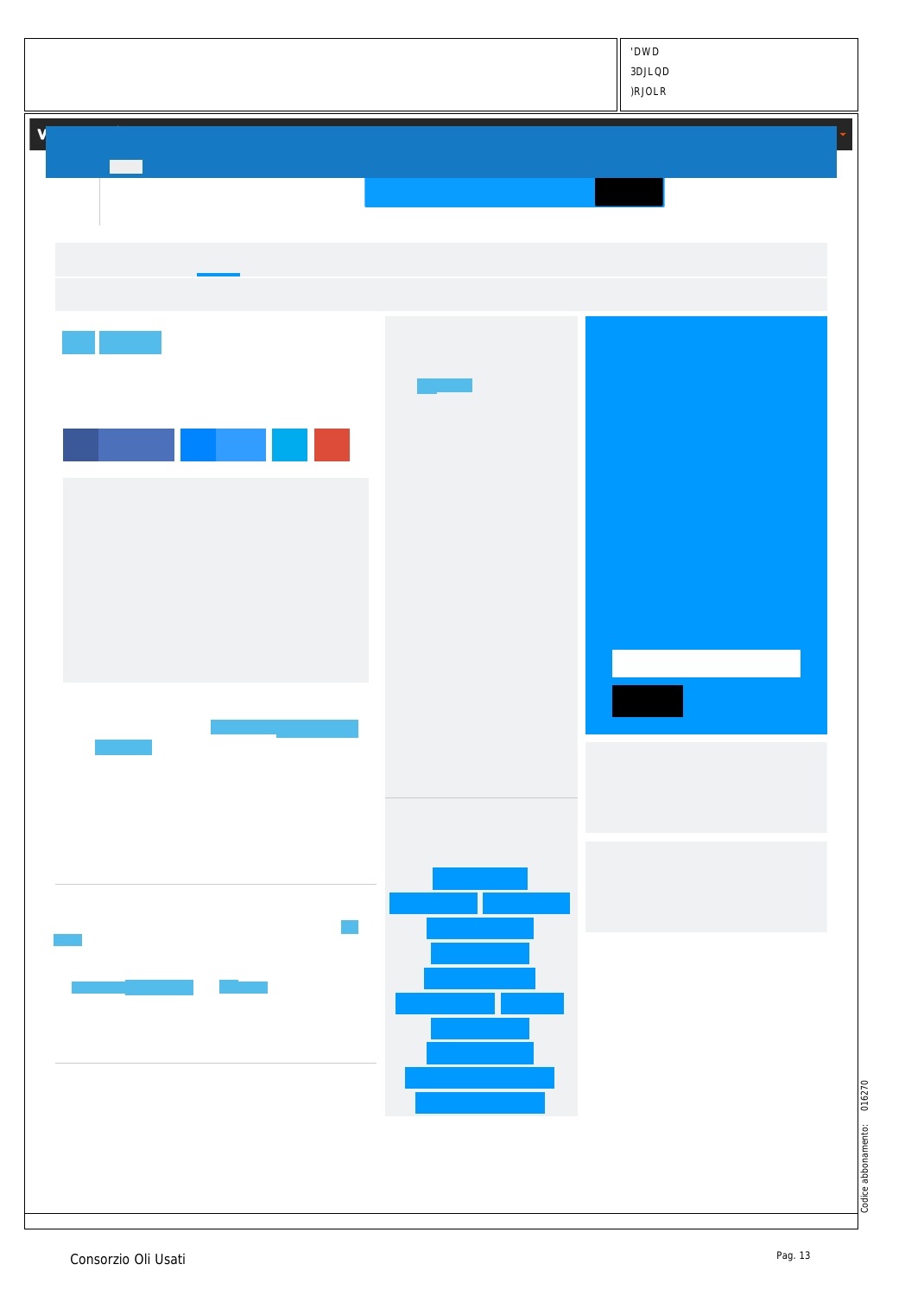<span id="page-12-0"></span>